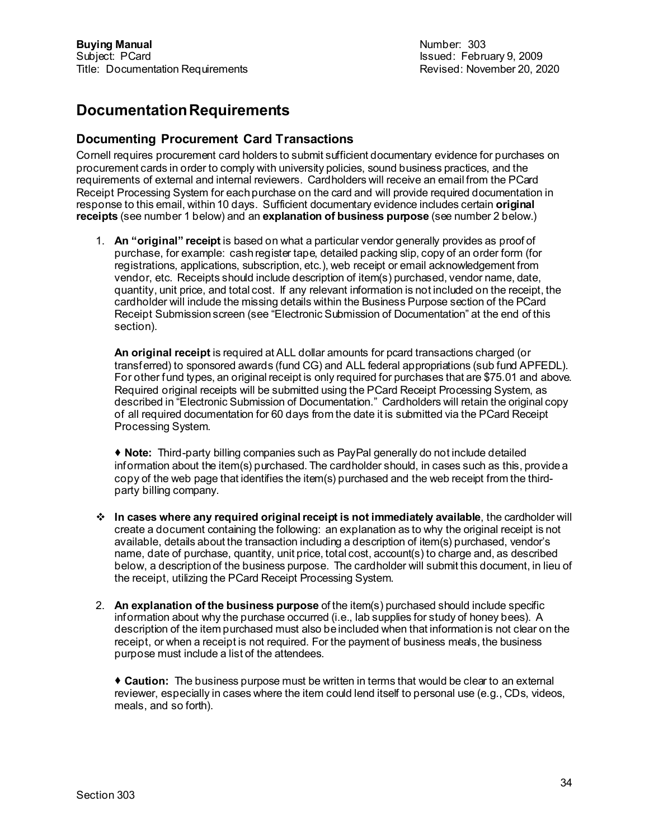## **Documentation Requirements**

## **Documenting Procurement Card Transactions**

Cornell requires procurement card holders to submit sufficient documentary evidence for purchases on procurement cards in order to comply with university policies, sound business practices, and the requirements of external and internal reviewers. Cardholders will receive an email from the PCard Receipt Processing System for each purchase on the card and will provide required documentation in response to this email, within 10 days. Sufficient documentary evidence includes certain **original receipts** (see number 1 below) and an **explanation of business purpose** (see number 2 below.)

1. **An "original" receipt** is based on what a particular vendor generally provides as proof of purchase, for example: cash register tape, detailed packing slip, copy of an order form (for registrations, applications, subscription, etc.), web receipt or email acknowledgement from vendor, etc. Receipts should include description of item(s) purchased, vendor name, date, quantity, unit price, and total cost. If any relevant information is not included on the receipt, the cardholder will include the missing details within the Business Purpose section of the PCard Receipt Submission screen (see "Electronic Submission of Documentation" at the end of this section).

**An original receipt** is required at ALL dollar amounts for pcard transactions charged (or transferred) to sponsored awards (fund CG) and ALL federal appropriations (sub fund APFEDL). For other fund types, an original receipt is only required for purchases that are \$75.01 and above. Required original receipts will be submitted using the PCard Receipt Processing System, as described in "Electronic Submission of Documentation." Cardholders will retain the original copy of all required documentation for 60 days from the date it is submitted via the PCard Receipt Processing System.

 **Note:** Third-party billing companies such as PayPal generally do not include detailed information about the item(s) purchased. The cardholder should, in cases such as this, provide a copy of the web page that identifies the item(s) purchased and the web receipt from the thirdparty billing company.

- **In cases where any required original receipt is not immediately available**, the cardholder will create a document containing the following: an explanation as to why the original receipt is not available, details about the transaction including a description of item(s) purchased, vendor's name, date of purchase, quantity, unit price, total cost, account(s) to charge and, as described below, a description of the business purpose. The cardholder will submit this document, in lieu of the receipt, utilizing the PCard Receipt Processing System.
- 2. **An explanation of the business purpose** of the item(s) purchased should include specific information about why the purchase occurred (i.e., lab supplies for study of honey bees). A description of the item purchased must also be included when that information is not clear on the receipt, or when a receipt is not required. For the payment of business meals, the business purpose must include a list of the attendees.

 **Caution:** The business purpose must be written in terms that would be clear to an external reviewer, especially in cases where the item could lend itself to personal use (e.g., CDs, videos, meals, and so forth).